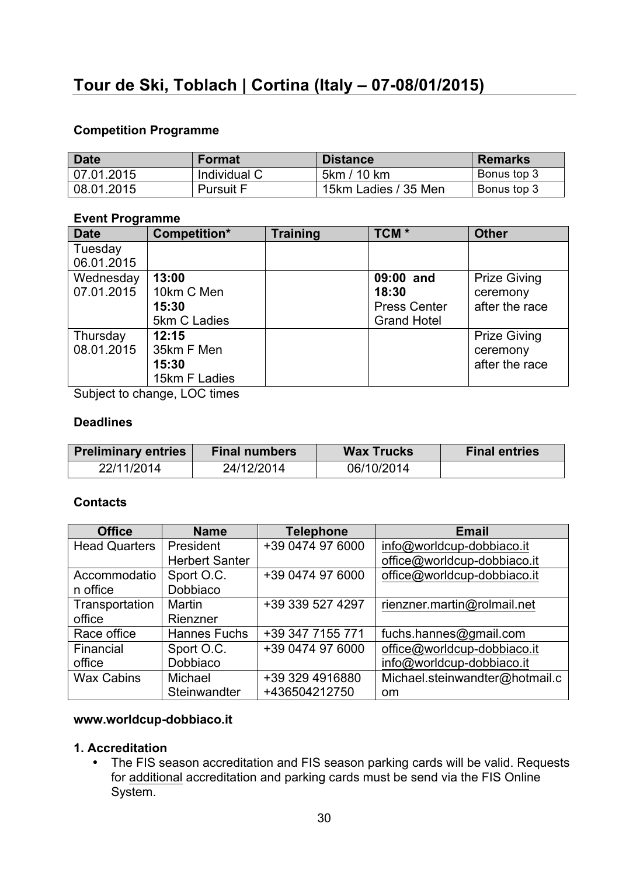#### **Competition Programme**

| <b>Date</b> | <b>Format</b>    | <b>Distance</b>      | <b>Remarks</b> |
|-------------|------------------|----------------------|----------------|
| 07.01.2015  | Individual C     | 5km / 10 km          | Bonus top 3    |
| 08.01.2015  | <b>Pursuit F</b> | 15km Ladies / 35 Men | Bonus top 3    |

#### **Event Programme**

| <b>Date</b> | Competition*  | Training | TCM <sup>*</sup>    | <b>Other</b>        |
|-------------|---------------|----------|---------------------|---------------------|
| Tuesday     |               |          |                     |                     |
| 06.01.2015  |               |          |                     |                     |
| Wednesday   | 13:00         |          | 09:00 and           | <b>Prize Giving</b> |
| 07.01.2015  | 10km C Men    |          | 18:30               | ceremony            |
|             | 15:30         |          | <b>Press Center</b> | after the race      |
|             | 5km C Ladies  |          | <b>Grand Hotel</b>  |                     |
| Thursday    | 12:15         |          |                     | <b>Prize Giving</b> |
| 08.01.2015  | 35km F Men    |          |                     | ceremony            |
|             | 15:30         |          |                     | after the race      |
|             | 15km F Ladies |          |                     |                     |

Subject to change, LOC times

#### **Deadlines**

| <b>Preliminary entries</b><br><b>Final numbers</b> |            | <b>Wax Trucks</b> | <b>Final entries</b> |
|----------------------------------------------------|------------|-------------------|----------------------|
| 22/11/2014                                         | 24/12/2014 | 06/10/2014        |                      |

## **Contacts**

| <b>Office</b>        | <b>Name</b>           | <b>Telephone</b> | <b>Email</b>                   |
|----------------------|-----------------------|------------------|--------------------------------|
| <b>Head Quarters</b> | President             | +39 0474 97 6000 | info@worldcup-dobbiaco.it      |
|                      | <b>Herbert Santer</b> |                  | office@worldcup-dobbiaco.it    |
| Accommodatio         | Sport O.C.            | +39 0474 97 6000 | office@worldcup-dobbiaco.it    |
| n office             | Dobbiaco              |                  |                                |
| Transportation       | Martin                | +39 339 527 4297 | rienzner.martin@rolmail.net    |
| office               | Rienzner              |                  |                                |
| Race office          | <b>Hannes Fuchs</b>   | +39 347 7155 771 | fuchs.hannes@gmail.com         |
| Financial            | Sport O.C.            | +39 0474 97 6000 | office@worldcup-dobbiaco.it    |
| office               | Dobbiaco              |                  | info@worldcup-dobbiaco.it      |
| <b>Wax Cabins</b>    | Michael               | +39 329 4916880  | Michael.steinwandter@hotmail.c |
|                      | Steinwandter          | +436504212750    | <sub>om</sub>                  |

# **www.worldcup-dobbiaco.it**

# **1. Accreditation**

• The FIS season accreditation and FIS season parking cards will be valid. Requests for additional accreditation and parking cards must be send via the FIS Online System.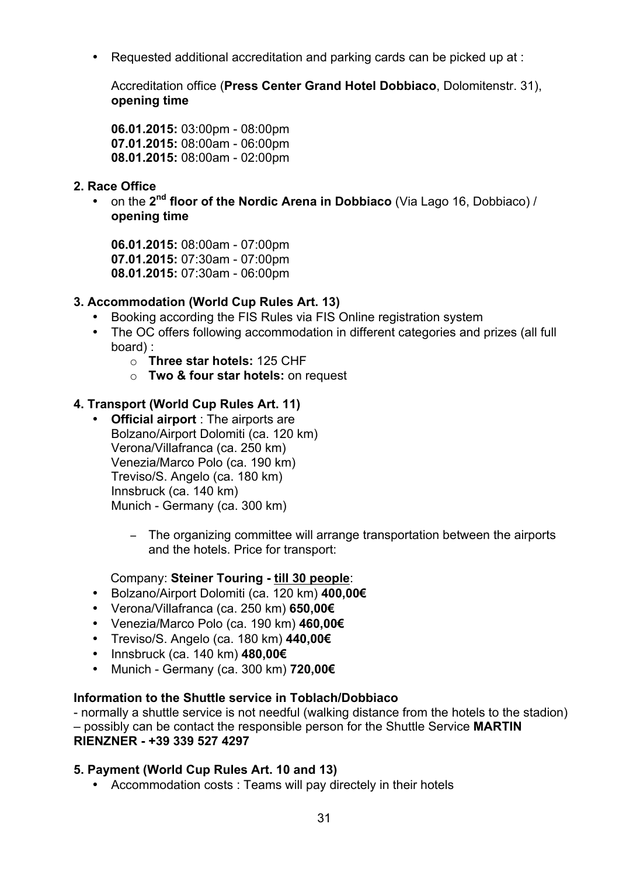• Requested additional accreditation and parking cards can be picked up at :

Accreditation office (**Press Center Grand Hotel Dobbiaco**, Dolomitenstr. 31), **opening time**

**06.01.2015:** 03:00pm - 08:00pm **07.01.2015:** 08:00am - 06:00pm **08.01.2015:** 08:00am - 02:00pm

## **2. Race Office**

• on the **2nd floor of the Nordic Arena in Dobbiaco** (Via Lago 16, Dobbiaco) / **opening time**

**06.01.2015:** 08:00am - 07:00pm **07.01.2015:** 07:30am - 07:00pm **08.01.2015:** 07:30am - 06:00pm

# **3. Accommodation (World Cup Rules Art. 13)**

- Booking according the FIS Rules via FIS Online registration system
- The OC offers following accommodation in different categories and prizes (all full board) :
	- o **Three star hotels:** 125 CHF
	- o **Two & four star hotels:** on request

# **4. Transport (World Cup Rules Art. 11)**

- **Official airport** : The airports are Bolzano/Airport Dolomiti (ca. 120 km) Verona/Villafranca (ca. 250 km) Venezia/Marco Polo (ca. 190 km) Treviso/S. Angelo (ca. 180 km) Innsbruck (ca. 140 km) Munich - Germany (ca. 300 km)
	- − The organizing committee will arrange transportation between the airports and the hotels. Price for transport:

## Company: **Steiner Touring - till 30 people**:

- Bolzano/Airport Dolomiti (ca. 120 km) **400,00€**
- Verona/Villafranca (ca. 250 km) **650,00€**
- Venezia/Marco Polo (ca. 190 km) **460,00€**
- Treviso/S. Angelo (ca. 180 km) **440,00€**
- Innsbruck (ca. 140 km) **480,00€**
- Munich Germany (ca. 300 km) **720,00€**

## **Information to the Shuttle service in Toblach/Dobbiaco**

- normally a shuttle service is not needful (walking distance from the hotels to the stadion) – possibly can be contact the responsible person for the Shuttle Service **MARTIN RIENZNER - +39 339 527 4297**

## **5. Payment (World Cup Rules Art. 10 and 13)**

• Accommodation costs : Teams will pay directely in their hotels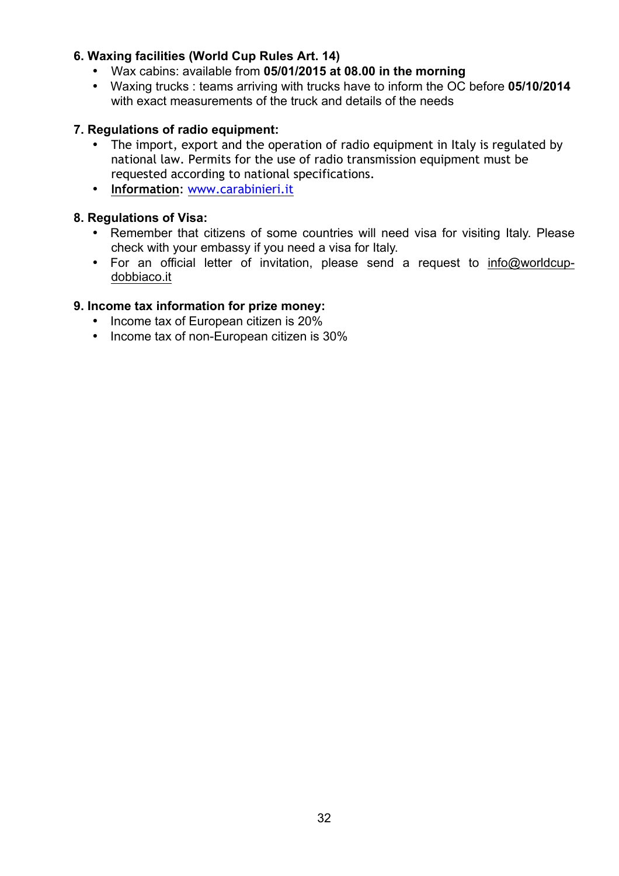## **6. Waxing facilities (World Cup Rules Art. 14)**

- Wax cabins: available from **05/01/2015 at 08.00 in the morning**
- Waxing trucks : teams arriving with trucks have to inform the OC before **05/10/2014**  with exact measurements of the truck and details of the needs

#### **7. Regulations of radio equipment:**

- The import, export and the operation of radio equipment in Italy is regulated by national law. Permits for the use of radio transmission equipment must be requested according to national specifications.
- **Information**: www.carabinieri.it

#### **8. Regulations of Visa:**

- Remember that citizens of some countries will need visa for visiting Italy. Please check with your embassy if you need a visa for Italy.
- For an official letter of invitation, please send a request to info@worldcupdobbiaco.it

#### **9. Income tax information for prize money:**

- Income tax of European citizen is 20%
- Income tax of non-European citizen is 30%